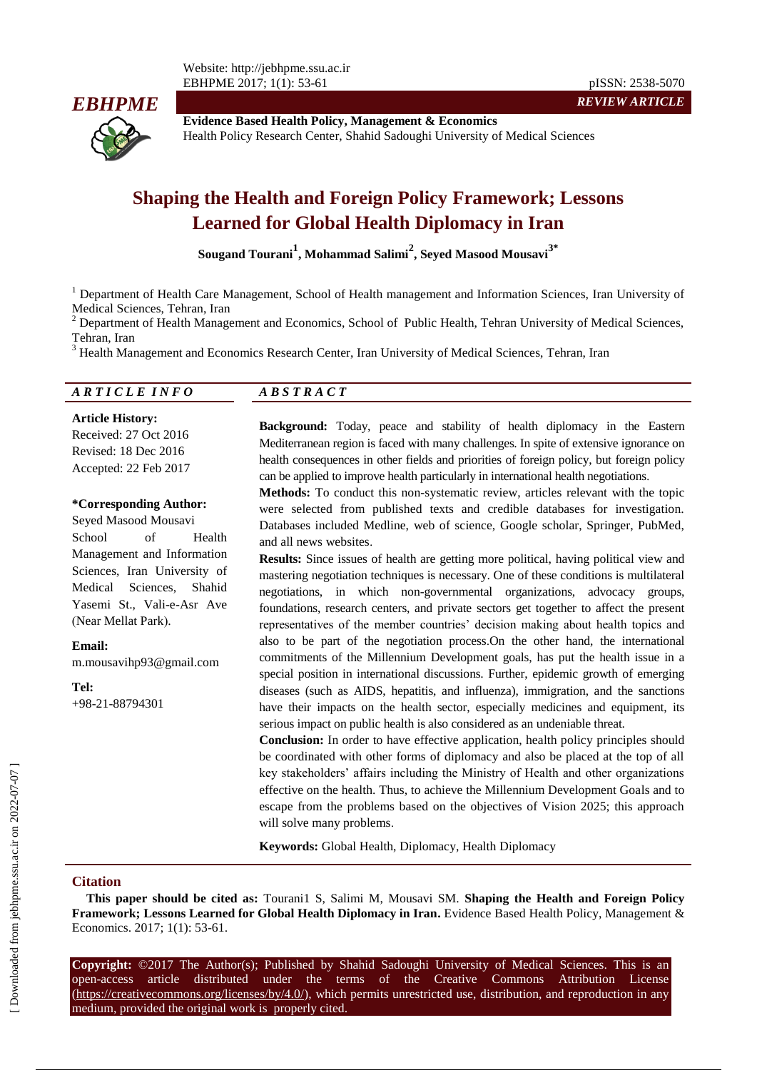

**Evidence Based Health Policy, Management & Economics** Health Policy Research Center, Shahid Sadoughi University of Medical Sciences

# **Shaping the Health and Foreign Policy Framework; Lessons Learned for Global Health Diplomacy in Iran**

**Sougand Tourani<sup>1</sup> , Mohammad Salimi<sup>2</sup> , Seyed Masood Mousavi3\***

<sup>1</sup> Department of Health Care Management, School of Health management and Information Sciences, Iran University of Medical Sciences, Tehran, Iran

<sup>2</sup> Department of Health Management and Economics, School of Public Health, Tehran University of Medical Sciences, Tehran, Iran

<sup>3</sup> [Health Management and Economics Research Center, Iran University of Medical Sciences, Tehran, Iran](http://hme.iums.ac.ir/?fkeyid=&siteid=205&fkeyid=&siteid=205&pageid=21139)

#### *A R T I C L E I N F O A B S T R A C T*

**Article History:** Received: 27 Oct 2016 Revised: 18 Dec 2016 Accepted: 22 Feb 2017

#### **\*Corresponding Author:**

Seyed Masood Mousavi School of Health Management and Information Sciences, Iran University of Medical Sciences, Shahid Yasemi St., Vali-e-Asr Ave (Near Mellat Park).

#### **Email:**

m.mousavihp93@gmail.com

**Tel:** +98-21-88794301

**Background:** Today, peace and stability of health diplomacy in the Eastern Mediterranean region is faced with many challenges. In spite of extensive ignorance on health consequences in other fields and priorities of foreign policy, but foreign policy can be applied to improve health particularly in international health negotiations.

*REVIEW ARTICLE*

**Methods:** To conduct this non-systematic review, articles relevant with the topic were selected from published texts and credible databases for investigation. Databases included Medline, web of science, Google scholar, Springer, PubMed, and all news websites.

**Results:** Since issues of health are getting more political, having political view and mastering negotiation techniques is necessary. One of these conditions is multilateral negotiations, in which non-governmental organizations, advocacy groups, foundations, research centers, and private sectors get together to affect the present representatives of the member countries' decision making about health topics and also to be part of the negotiation process.On the other hand, the international commitments of the Millennium Development goals, has put the health issue in a special position in international discussions. Further, epidemic growth of emerging diseases (such as AIDS, hepatitis, and influenza), immigration, and the sanctions have their impacts on the health sector, especially medicines and equipment, its serious impact on public health is also considered as an undeniable threat.

**Conclusion:** In order to have effective application, health policy principles should be coordinated with other forms of diplomacy and also be placed at the top of all key stakeholders' affairs including the Ministry of Health and other organizations effective on the health. Thus, to achieve the Millennium Development Goals and to escape from the problems based on the objectives of Vision 2025; this approach will solve many problems.

**Keywords:** Global Health, Diplomacy, Health Diplomacy

#### **Citation**

**This paper should be cited as:** Tourani1 S, Salimi M, Mousavi SM. **Shaping the Health and Foreign Policy Framework; Lessons Learned for Global Health Diplomacy in Iran.** Evidence Based Health Policy, Management & Economics. 2017; 1(1): 53-61.

**Copyright:** ©2017 The Author(s); Published by Shahid Sadoughi University of Medical Sciences. This is an open-access article distributed under the terms of the Creative Commons Attribution License (https://creativecommons.org/licenses/by/4.0/), which permits unrestricted use, distribution, and reproduction in any medium, provided the original work is properly cited.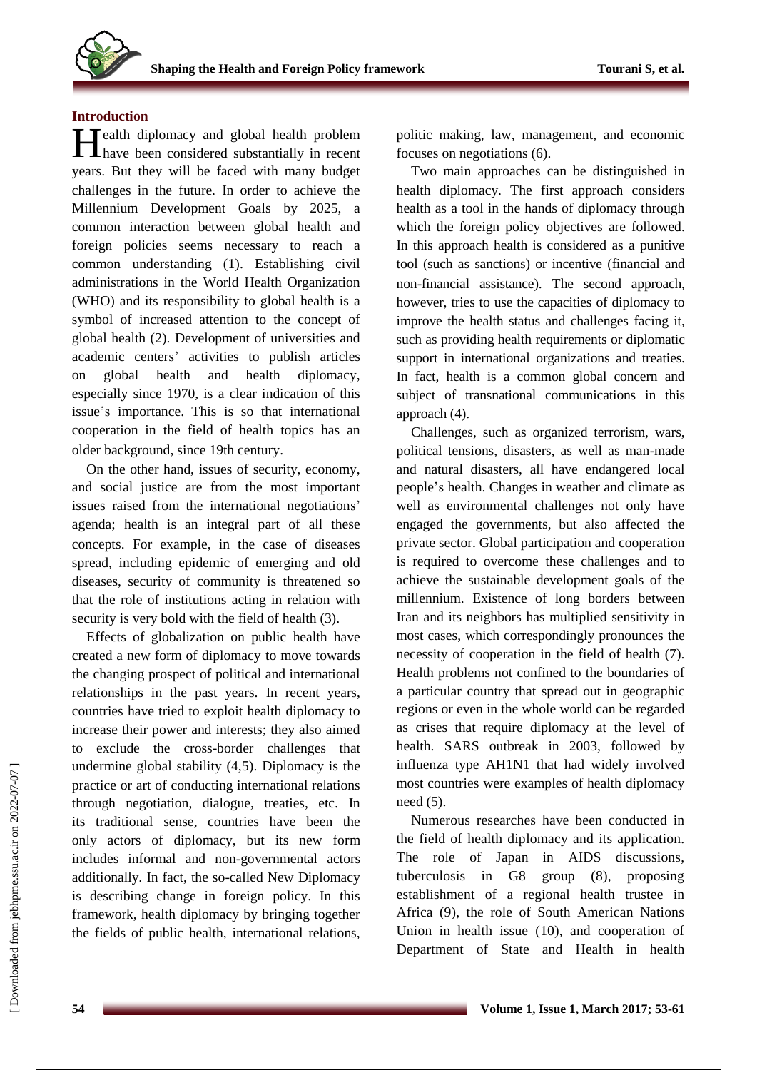# **Introduction**

**H**ealth diplomacy and global health problem<br>have been considered substantially in recent **Thave been considered substantially in recent** years. But they will be faced with many budget challenges in the future. In order to achieve the Millennium Development Goals by 2025, a common interaction between global health and foreign policies seems necessary to reach a common understanding (1). Establishing civil administrations in the World Health Organization (WHO) and its responsibility to global health is a symbol of increased attention to the concept of global health (2). Development of universities and academic centers' activities to publish articles on global health and health diplomacy, especially since 1970, is a clear indication of this issue's importance. This is so that international cooperation in the field of health topics has an older background, since 19th century.

On the other hand, issues of security, economy, and social justice are from the most important issues raised from the international negotiations' agenda; health is an integral part of all these concepts. For example, in the case of diseases spread, including epidemic of emerging and old diseases, security of community is threatened so that the role of institutions acting in relation with security is very bold with the field of health (3).

Effects of globalization on public health have created a new form of diplomacy to move towards the changing prospect of political and international relationships in the past years. In recent years, countries have tried to exploit health diplomacy to increase their power and interests; they also aimed to exclude the cross-border challenges that undermine global stability (4,5). Diplomacy is the practice or art of conducting international relations through negotiation, dialogue, treaties, etc. In its traditional sense, countries have been the only actors of diplomacy, but its new form includes informal and non-governmental actors additionally. In fact, the so-called New Diplomacy is describing change in foreign policy. In this framework, health diplomacy by bringing together the fields of public health, international relations, politic making, law, management, and economic focuses on negotiations (6).

Two main approaches can be distinguished in health diplomacy. The first approach considers health as a tool in the hands of diplomacy through which the foreign policy objectives are followed. In this approach health is considered as a punitive tool (such as sanctions) or incentive (financial and non-financial assistance). The second approach, however, tries to use the capacities of diplomacy to improve the health status and challenges facing it, such as providing health requirements or diplomatic support in international organizations and treaties. In fact, health is a common global concern and subject of transnational communications in this approach (4).

Challenges, such as organized terrorism, wars, political tensions, disasters, as well as man-made and natural disasters, all have endangered local people's health. Changes in weather and climate as well as environmental challenges not only have engaged the governments, but also affected the private sector. Global participation and cooperation is required to overcome these challenges and to achieve the sustainable development goals of the millennium. Existence of long borders between Iran and its neighbors has multiplied sensitivity in most cases, which correspondingly pronounces the necessity of cooperation in the field of health (7). Health problems not confined to the boundaries of a particular country that spread out in geographic regions or even in the whole world can be regarded as crises that require diplomacy at the level of health. SARS outbreak in 2003, followed by influenza type AH1N1 that had widely involved most countries were examples of health diplomacy need (5).

Numerous researches have been conducted in the field of health diplomacy and its application. The role of Japan in AIDS discussions, tuberculosis in G8 group (8), proposing establishment of a regional health trustee in Africa (9), the role of South American Nations Union in health issue (10), and cooperation of Department of State and Health in health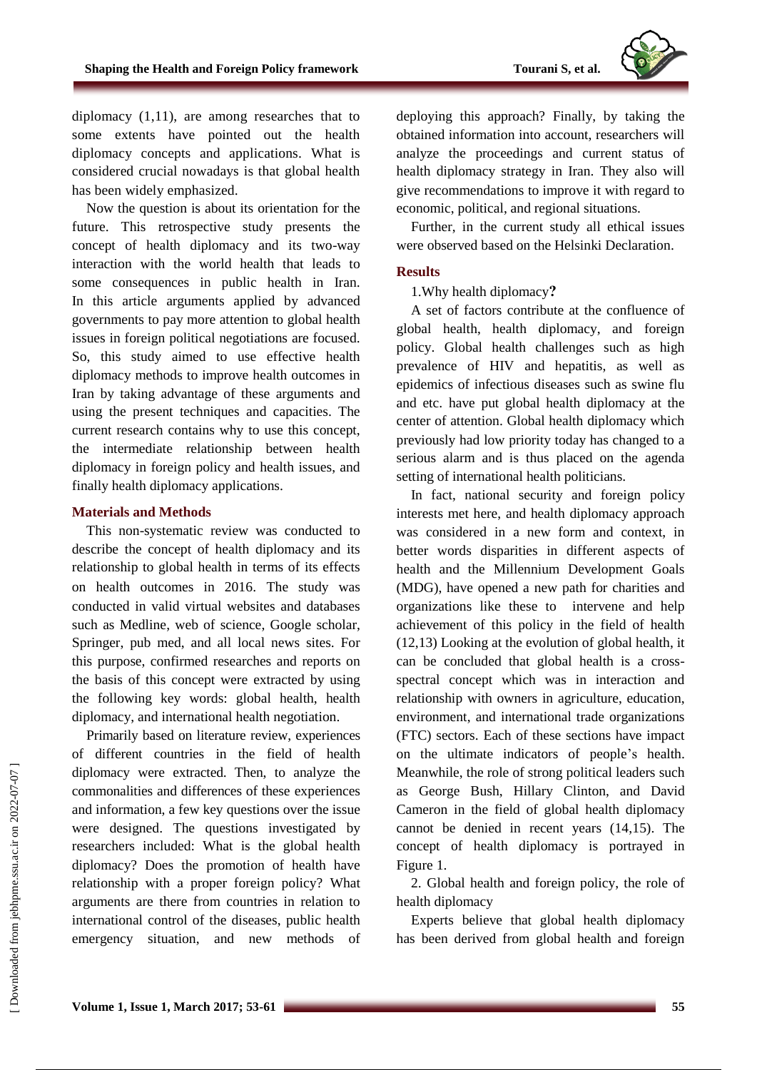

diplomacy (1,11), are among researches that to some extents have pointed out the health diplomacy concepts and applications. What is considered crucial nowadays is that global health has been widely emphasized.

Now the question is about its orientation for the future. This retrospective study presents the concept of health diplomacy and its two-way interaction with the world health that leads to some consequences in public health in Iran. In this article arguments applied by advanced governments to pay more attention to global health issues in foreign political negotiations are focused. So, this study aimed to use effective health diplomacy methods to improve health outcomes in Iran by taking advantage of these arguments and using the present techniques and capacities. The current research contains why to use this concept, the intermediate relationship between health diplomacy in foreign policy and health issues, and finally health diplomacy applications.

# **Materials and Methods**

This non-systematic review was conducted to describe the concept of health diplomacy and its relationship to global health in terms of its effects on health outcomes in 2016. The study was conducted in valid virtual websites and databases such as Medline, web of science, Google scholar, Springer, pub med, and all local news sites. For this purpose, confirmed researches and reports on the basis of this concept were extracted by using the following key words: global health, health diplomacy, and international health negotiation.

Primarily based on literature review, experiences of different countries in the field of health diplomacy were extracted. Then, to analyze the commonalities and differences of these experiences and information, a few key questions over the issue were designed. The questions investigated by researchers included: What is the global health diplomacy? Does the promotion of health have relationship with a proper foreign policy? What arguments are there from countries in relation to international control of the diseases, public health emergency situation, and new methods of deploying this approach? Finally, by taking the obtained information into account, researchers will analyze the proceedings and current status of health diplomacy strategy in Iran. They also will give recommendations to improve it with regard to economic, political, and regional situations.

Further, in the current study all ethical issues were observed based on the Helsinki Declaration.

# **Results**

# 1.Why health diplomacy**?**

A set of factors contribute at the confluence of global health, health diplomacy, and foreign policy. Global health challenges such as high prevalence of HIV and hepatitis, as well as epidemics of infectious diseases such as swine flu and etc. have put global health diplomacy at the center of attention. Global health diplomacy which previously had low priority today has changed to a serious alarm and is thus placed on the agenda setting of international health politicians.

In fact, national security and foreign policy interests met here, and health diplomacy approach was considered in a new form and context, in better words disparities in different aspects of health and the Millennium Development Goals (MDG), have opened a new path for charities and organizations like these to intervene and help achievement of this policy in the field of health (12,13) Looking at the evolution of global health, it can be concluded that global health is a crossspectral concept which was in interaction and relationship with owners in agriculture, education, environment, and international trade organizations (FTC) sectors. Each of these sections have impact on the ultimate indicators of people's health. Meanwhile, the role of strong political leaders such as George Bush, Hillary Clinton, and David Cameron in the field of global health diplomacy cannot be denied in recent years (14,15). The concept of health diplomacy is portrayed in Figure 1.

2. Global health and foreign policy, the role of health diplomacy

Experts believe that global health diplomacy has been derived from global health and foreign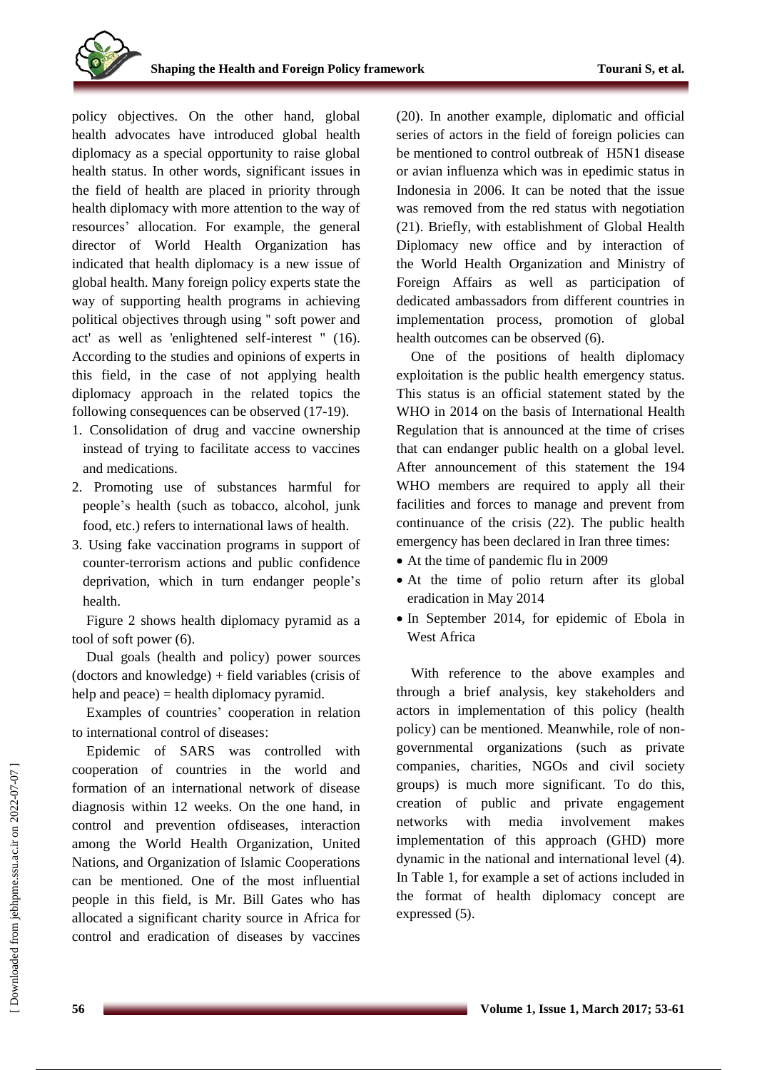policy objectives. On the other hand, global health advocates have introduced global health diplomacy as a special opportunity to raise global health status. In other words, significant issues in the field of health are placed in priority through health diplomacy with more attention to the way of resources' allocation. For example, the general director of World Health Organization has indicated that health diplomacy is a new issue of global health. Many foreign policy experts state the way of supporting health programs in achieving political objectives through using '' soft power and act' as well as 'enlightened self-interest " (16). According to the studies and opinions of experts in this field, in the case of not applying health diplomacy approach in the related topics the following consequences can be observed (17-19).

- 1. Consolidation of drug and vaccine ownership instead of trying to facilitate access to vaccines and medications.
- 2. Promoting use of substances harmful for people's health (such as tobacco, alcohol, junk food, etc.) refers to international laws of health.
- 3. Using fake vaccination programs in support of counter-terrorism actions and public confidence deprivation, which in turn endanger people's health.

Figure 2 shows health diplomacy pyramid as a tool of soft power (6).

Dual goals (health and policy) power sources (doctors and knowledge) + field variables (crisis of help and peace) = health diplomacy pyramid.

Examples of countries' cooperation in relation to international control of diseases:

Epidemic of SARS was controlled with cooperation of countries in the world and formation of an international network of disease diagnosis within 12 weeks. On the one hand, in control and prevention ofdiseases, interaction among the World Health Organization, United Nations, and Organization of Islamic Cooperations can be mentioned. One of the most influential people in this field, is Mr. Bill Gates who has allocated a significant charity source in Africa for control and eradication of diseases by vaccines

(20). In another example, diplomatic and official series of actors in the field of foreign policies can be mentioned to control outbreak of H5N1 disease or avian influenza which was in epedimic status in Indonesia in 2006. It can be noted that the issue was removed from the red status with negotiation (21). Briefly, with establishment of Global Health Diplomacy new office and by interaction of the World Health Organization and Ministry of Foreign Affairs as well as participation of dedicated ambassadors from different countries in implementation process, promotion of global health outcomes can be observed (6).

One of the positions of health diplomacy exploitation is the public health emergency status. This status is an official statement stated by the WHO in 2014 on the basis of International Health Regulation that is announced at the time of crises that can endanger public health on a global level. After announcement of this statement the 194 WHO members are required to apply all their facilities and forces to manage and prevent from continuance of the crisis (22). The public health emergency has been declared in Iran three times:

- At the time of pandemic flu in 2009
- At the time of polio return after its global eradication in May 2014
- In September 2014, for epidemic of Ebola in West Africa

With reference to the above examples and through a brief analysis, key stakeholders and actors in implementation of this policy (health policy) can be mentioned. Meanwhile, role of nongovernmental organizations (such as private companies, charities, NGOs and civil society groups) is much more significant. To do this, creation of public and private engagement networks with media involvement makes implementation of this approach (GHD) more dynamic in the national and international level (4). In Table 1, for example a set of actions included in the format of health diplomacy concept are expressed (5).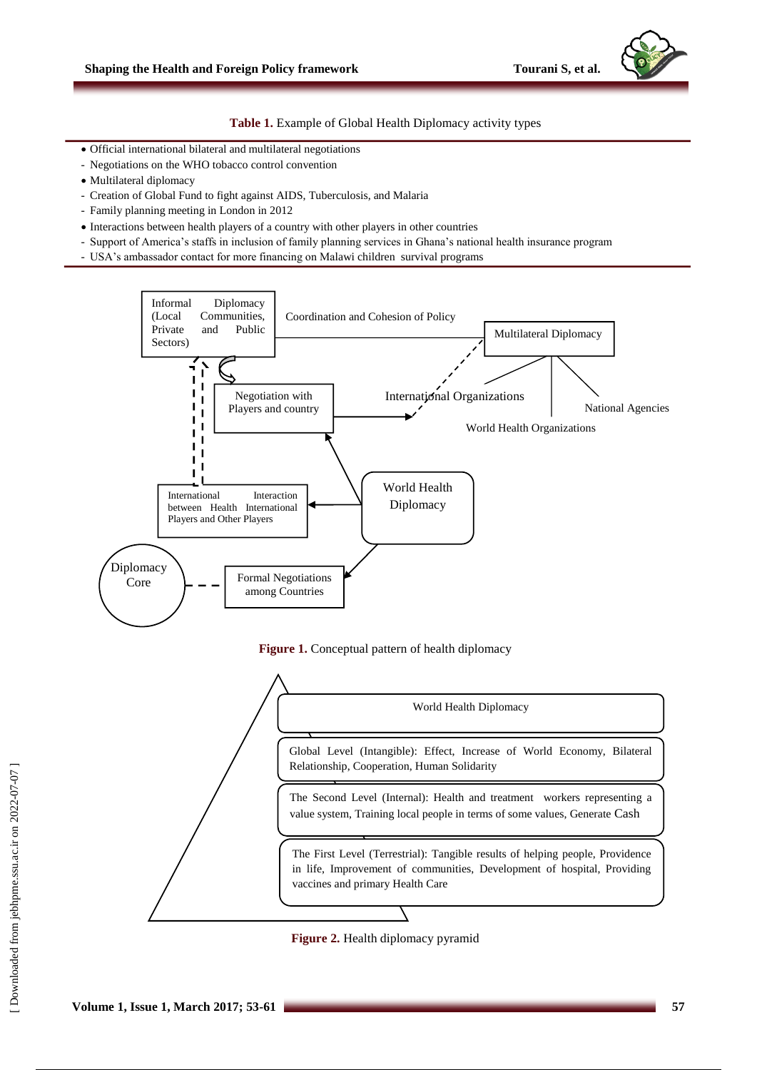**Table 1.** Example of Global Health Diplomacy activity types

- Official international bilateral and multilateral negotiations
- Negotiations on the WHO tobacco control convention
- Multilateral diplomacy
- Creation of Global Fund to fight against AIDS, Tuberculosis, and Malaria
- Family planning meeting in London in 2012
- $\bullet$  Interactions between health players of a country with other players in other countries
- Support of America's staffs in inclusion of family planning services in Ghana's national health insurance program
- USA's ambassador contact for more financing on Malawi children survival programs







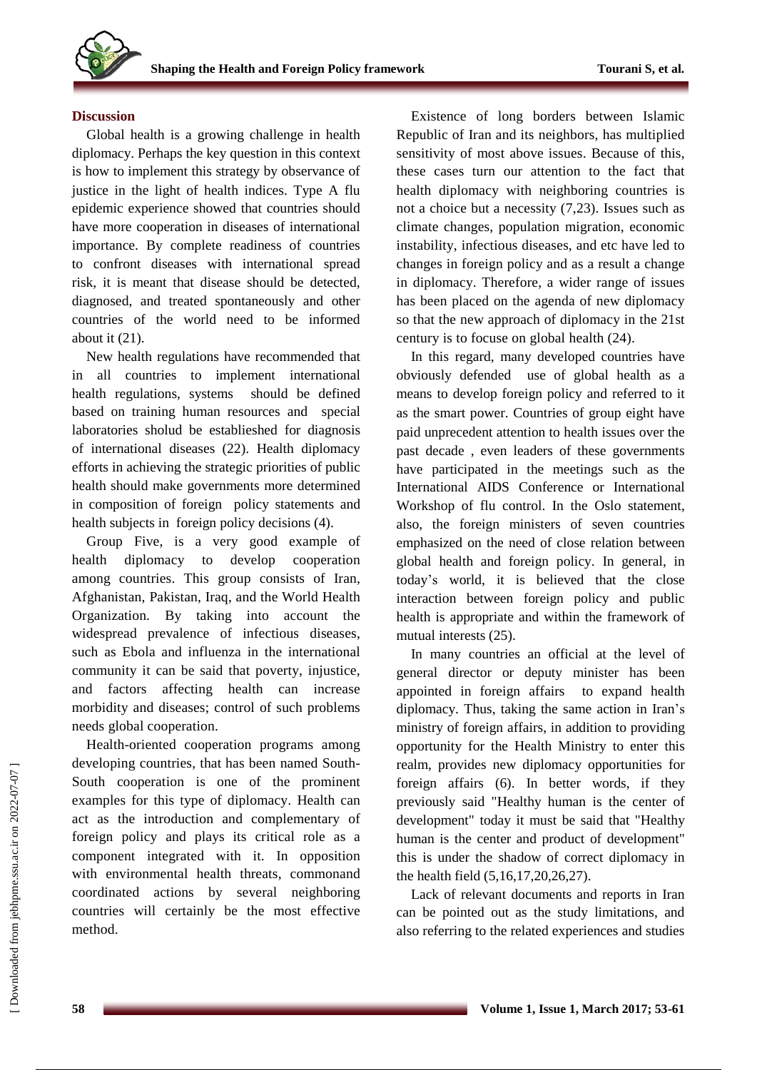#### **Discussion**

Global health is a growing challenge in health diplomacy. Perhaps the key question in this context is how to implement this strategy by observance of justice in the light of health indices. Type A flu epidemic experience showed that countries should have more cooperation in diseases of international importance. By complete readiness of countries to confront diseases with international spread risk, it is meant that disease should be detected, diagnosed, and treated spontaneously and other countries of the world need to be informed about it (21).

New health regulations have recommended that in all countries to implement international health regulations, systems should be defined based on training human resources and special laboratories sholud be establieshed for diagnosis of international diseases (22). Health diplomacy efforts in achieving the strategic priorities of public health should make governments more determined in composition of foreign policy statements and health subjects in foreign policy decisions (4).

Group Five, is a very good example of health diplomacy to develop cooperation among countries. This group consists of Iran, Afghanistan, Pakistan, Iraq, and the World Health Organization. By taking into account the widespread prevalence of infectious diseases, such as Ebola and influenza in the international community it can be said that poverty, injustice, and factors affecting health can increase morbidity and diseases; control of such problems needs global cooperation.

Health-oriented cooperation programs among developing countries, that has been named South-South cooperation is one of the prominent examples for this type of diplomacy. Health can act as the introduction and complementary of foreign policy and plays its critical role as a component integrated with it. In opposition with environmental health threats, commonand coordinated actions by several neighboring countries will certainly be the most effective method.

Existence of long borders between Islamic Republic of Iran and its neighbors, has multiplied sensitivity of most above issues. Because of this, these cases turn our attention to the fact that health diplomacy with neighboring countries is not a choice but a necessity (7,23). Issues such as climate changes, population migration, economic instability, infectious diseases, and etc have led to changes in foreign policy and as a result a change in diplomacy. Therefore, a wider range of issues has been placed on the agenda of new diplomacy so that the new approach of diplomacy in the 21st century is to focuse on global health (24).

In this regard, many developed countries have obviously defended use of global health as a means to develop foreign policy and referred to it as the smart power. Countries of group eight have paid unprecedent attention to health issues over the past decade , even leaders of these governments have participated in the meetings such as the International AIDS Conference or International Workshop of flu control. In the Oslo statement, also, the foreign ministers of seven countries emphasized on the need of close relation between global health and foreign policy. In general, in today's world, it is believed that the close interaction between foreign policy and public health is appropriate and within the framework of mutual interests (25).

In many countries an official at the level of general director or deputy minister has been appointed in foreign affairs to expand health diplomacy. Thus, taking the same action in Iran's ministry of foreign affairs, in addition to providing opportunity for the Health Ministry to enter this realm, provides new diplomacy opportunities for foreign affairs (6). In better words, if they previously said "Healthy human is the center of development" today it must be said that "Healthy human is the center and product of development" this is under the shadow of correct diplomacy in the health field (5,16,17,20,26,27).

Lack of relevant documents and reports in Iran can be pointed out as the study limitations, and also referring to the related experiences and studies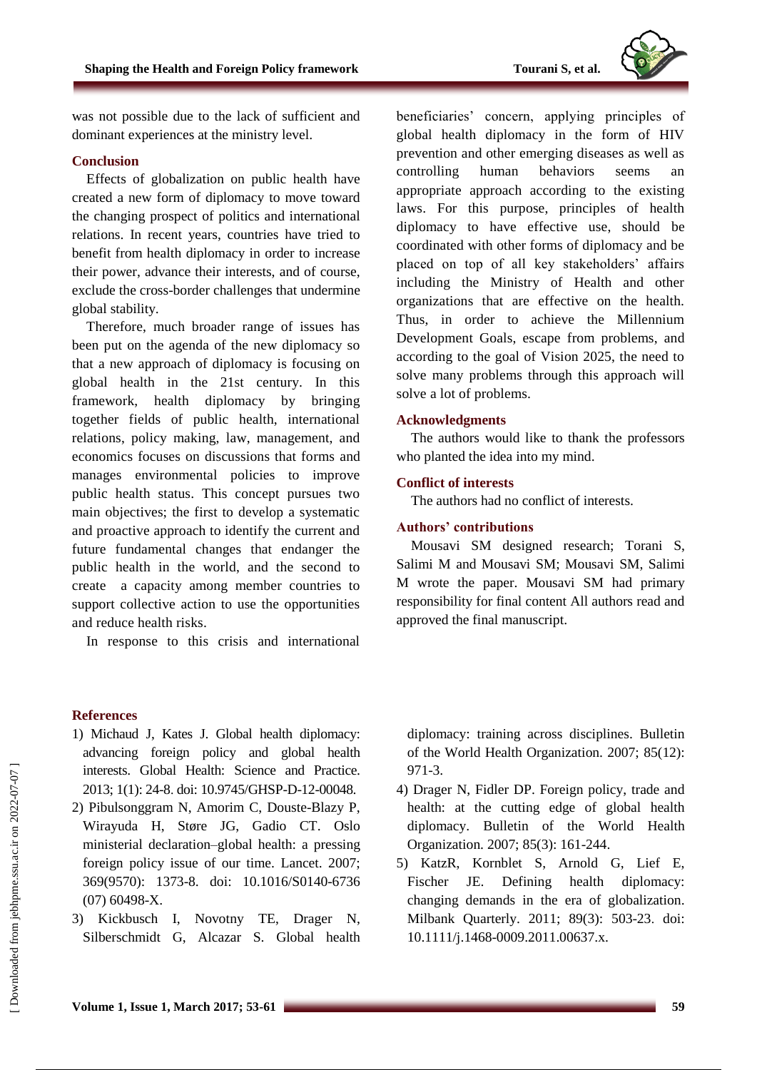

was not possible due to the lack of sufficient and dominant experiences at the ministry level.

#### **Conclusion**

Effects of globalization on public health have created a new form of diplomacy to move toward the changing prospect of politics and international relations. In recent years, countries have tried to benefit from health diplomacy in order to increase their power, advance their interests, and of course, exclude the cross-border challenges that undermine global stability.

Therefore, much broader range of issues has been put on the agenda of the new diplomacy so that a new approach of diplomacy is focusing on global health in the 21st century. In this framework, health diplomacy by bringing together fields of public health, international relations, policy making, law, management, and economics focuses on discussions that forms and manages environmental policies to improve public health status. This concept pursues two main objectives; the first to develop a systematic and proactive approach to identify the current and future fundamental changes that endanger the public health in the world, and the second to create a capacity among member countries to support collective action to use the opportunities and reduce health risks.

In response to this crisis and international

beneficiaries' concern, applying principles of global health diplomacy in the form of HIV prevention and other emerging diseases as well as controlling human behaviors seems an appropriate approach according to the existing laws. For this purpose, principles of health diplomacy to have effective use, should be coordinated with other forms of diplomacy and be placed on top of all key stakeholders' affairs including the Ministry of Health and other organizations that are effective on the health. Thus, in order to achieve the Millennium Development Goals, escape from problems, and according to the goal of Vision 2025, the need to solve many problems through this approach will solve a lot of problems.

# **Acknowledgments**

The authors would like to thank the professors who planted the idea into my mind.

#### **Conflict of interests**

The authors had no conflict of interests.

# **Authors' contributions**

Mousavi SM designed research; Torani S, Salimi M and Mousavi SM; Mousavi SM, Salimi M wrote the paper. Mousavi SM had primary responsibility for final content All authors read and approved the final manuscript.

# **References**

- 1) Michaud J, Kates J. Global health diplomacy: advancing foreign policy and global health interests. Global Health: Science and Practice. 2013; 1(1): 24-8. doi: 10.9745/GHSP-D-12-00048.
- 2) Pibulsonggram N, Amorim C, Douste-Blazy P, Wirayuda H, Støre JG, Gadio CT. Oslo ministerial declaration–global health: a pressing foreign policy issue of our time. Lancet. 2007; 369(9570): 1373-8. doi: 10.1016/S0140-6736 (07) 60498-X.
- 3) Kickbusch I, Novotny TE, Drager N, Silberschmidt G, Alcazar S. Global health

diplomacy: training across disciplines. Bulletin of the World Health Organization. 2007; 85(12): 971-3.

- 4) Drager N, Fidler DP. Foreign policy, trade and health: at the cutting edge of global health diplomacy. Bulletin of the World Health Organization. 2007; 85(3): 161-244.
- 5) KatzR, Kornblet S, Arnold G, Lief E, Fischer JE. Defining health diplomacy: changing demands in the era of globalization. Milbank Quarterly. 2011; 89(3): 503-23. doi: 10.1111/j.1468-0009.2011.00637.x.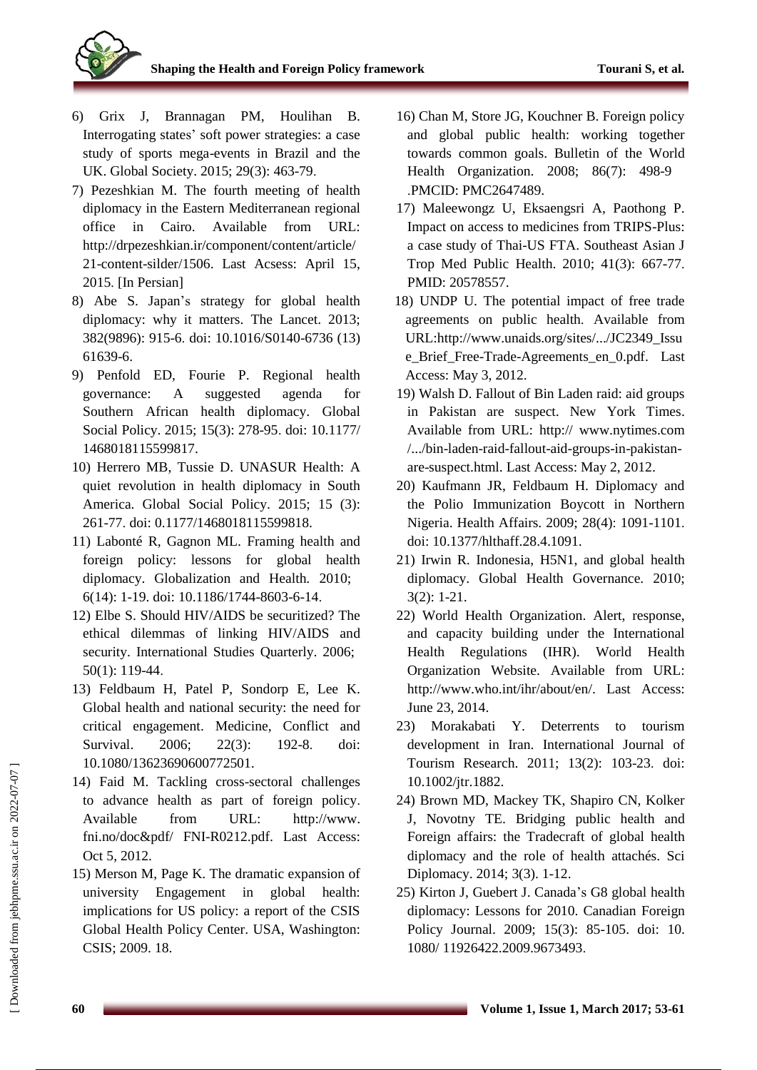

- 6) Grix J, Brannagan PM, Houlihan B. Interrogating states' soft power strategies: a case study of sports mega-events in Brazil and the UK. Global Society. 2015; 29(3): 463-79.
- 7) Pezeshkian M. The fourth meeting of health diplomacy in the Eastern Mediterranean regional office in Cairo. Available from URL: [http://drpezeshkian.ir/component/content/article/](http://drpezeshkian.ir/component/content/article/21-content-silder/1506) [21-content-silder/1506.](http://drpezeshkian.ir/component/content/article/21-content-silder/1506) Last Acsess: April 15, 2015. [In Persian]
- 8) Abe S. Japan's strategy for global health diplomacy: why it matters. The Lancet. 2013; 382(9896): 915-6. doi: 10.1016/S0140-6736 (13) 61639-6.
- 9) Penfold ED, Fourie P. Regional health governance: A suggested agenda for Southern African health diplomacy. Global Social Policy. 2015; 15(3): 278-95. doi: 10.1177/ 1468018115599817.
- 10) Herrero MB, Tussie D. UNASUR Health: A quiet revolution in health diplomacy in South America. Global Social Policy. 2015; 15 (3): 261-77. doi: 0.1177/1468018115599818.
- 11) Labonté R, Gagnon ML. Framing health and foreign policy: lessons for global health diplomacy. Globalization and Health. 2010; 6(14): 1-19. doi: 10.1186/1744-8603-6-14.
- 12) Elbe S. Should HIV/AIDS be securitized? The ethical dilemmas of linking HIV/AIDS and security. International Studies Quarterly. 2006; 50(1): 119-44.
- 13) Feldbaum H, Patel P, Sondorp E, Lee K. Global health and national security: the need for critical engagement. Medicine, Conflict and Survival. 2006; 22(3): 192-8. doi: 10.1080/13623690600772501.
- 14) Faid M. Tackling cross-sectoral challenges to advance health as part of foreign policy. Available from URL: http://www. fni.no/doc&pdf/ FNI-R0212.pdf. Last Access: Oct 5, 2012.
- 15) Merson M, Page K. The dramatic expansion of university Engagement in global health: implications for US policy: a report of the CSIS Global Health Policy Center. USA, Washington: CSIS; 2009. 18.
- 16) Chan M, Store JG, Kouchner B. Foreign policy and global public health: working together towards common goals. Bulletin of the World Health Organization. 2008; 86(7): 498-9 .PMCID: PMC2647489.
- 17) Maleewongz U, Eksaengsri A, Paothong P. Impact on access to medicines from TRIPS-Plus: a case study of Thai-US FTA. Southeast Asian J Trop Med Public Health. 2010; 41(3): 667-77. PMID: 20578557.
- 18) UNDP U. The potential impact of free trade agreements on public health. Available from URL:http:/[/www.unaids.org/sites/.../JC2349\\_Issu](http://www.unaids.org/sites/.../JC2349_Issue_Brief_Free-Trade-Agreements_en_0.pdf.%20Last) e Brief Free-Trade-Agreements en 0.pdf. Last Access: May 3, 2012.
- 19) Walsh D. Fallout of Bin Laden raid: aid groups in Pakistan are suspect. New York Times. Available from URL: http:// www.nytimes.com /.../bin-laden-raid-fallout-aid-groups-in-pakistanare-suspect.html. Last Access: May 2, 2012.
- 20) Kaufmann JR, Feldbaum H. Diplomacy and the Polio Immunization Boycott in Northern Nigeria. Health Affairs. 2009; 28(4): 1091-1101. doi: 10.1377/hlthaff.28.4.1091.
- 21) Irwin R. Indonesia, H5N1, and global health diplomacy. Global Health Governance. 2010; 3(2): 1-21.
- 22) World Health Organization. Alert, response, and capacity building under the International Health Regulations (IHR). World Health Organization Website. Available from [URL:](http://www.who.int/ihr/about/en/.%20Last)  [http://www.who.int/ihr/about/en/. Last](http://www.who.int/ihr/about/en/.%20Last) Access: June 23, 2014.
- 23) Morakabati Y. Deterrents to tourism development in Iran. International Journal of Tourism Research. 2011; 13(2): 103-23. doi: 10.1002/jtr.1882.
- 24) Brown MD, Mackey TK, Shapiro CN, Kolker J, Novotny TE. Bridging public health and Foreign affairs: the Tradecraft of global health diplomacy and the role of health attachés. Sci Diplomacy. 2014; 3(3). 1-12.
- 25) Kirton J, Guebert J. Canada's G8 global health diplomacy: Lessons for 2010. Canadian Foreign Policy Journal. 2009; 15(3): 85-105. doi: 10. 1080/ 11926422.2009.9673493.